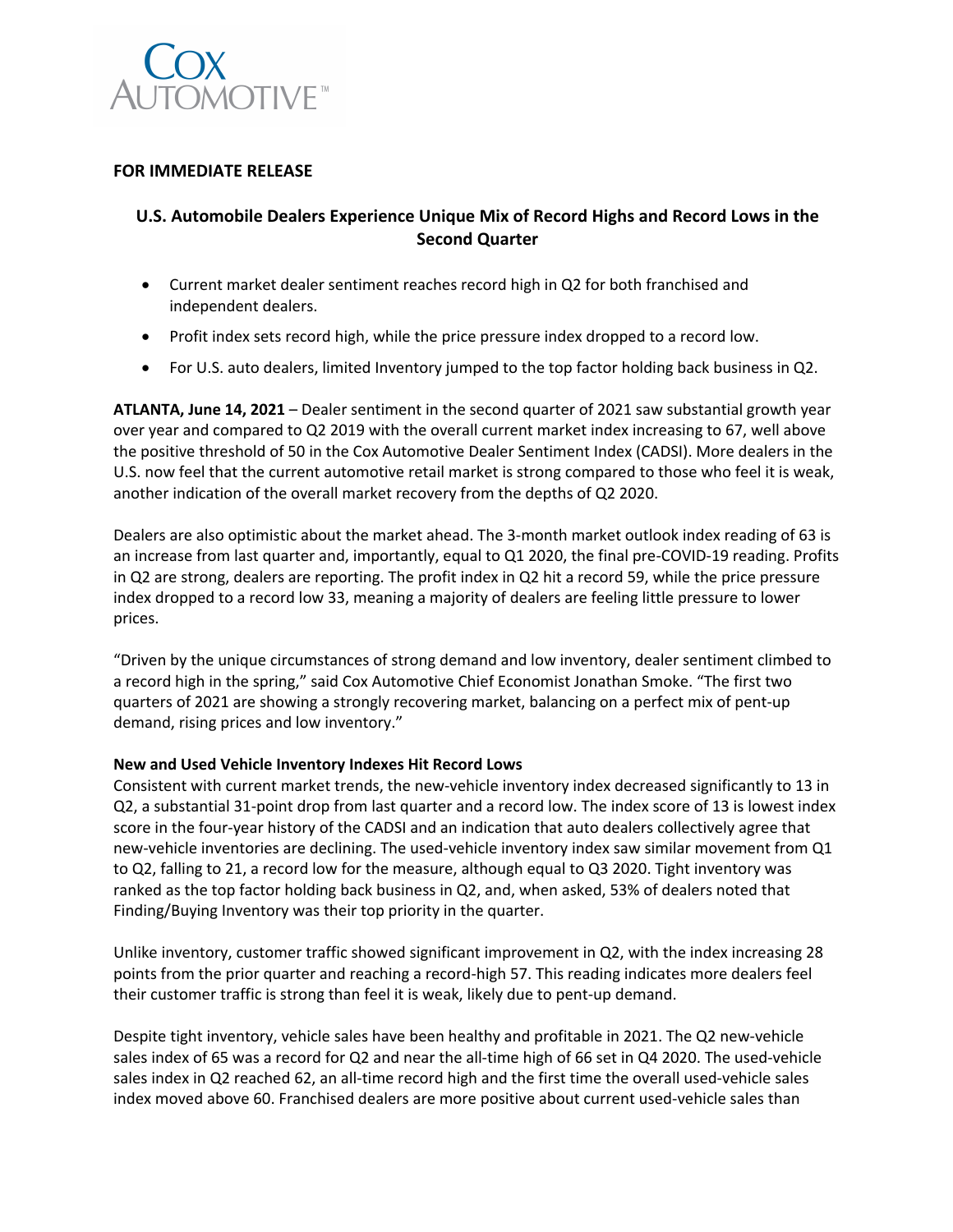

## **FOR IMMEDIATE RELEASE**

# **U.S. Automobile Dealers Experience Unique Mix of Record Highs and Record Lows in the Second Quarter**

- Current market dealer sentiment reaches record high in Q2 for both franchised and independent dealers.
- Profit index sets record high, while the price pressure index dropped to a record low.
- For U.S. auto dealers, limited Inventory jumped to the top factor holding back business in Q2.

**ATLANTA, June 14, 2021** – Dealer sentiment in the second quarter of 2021 saw substantial growth year over year and compared to Q2 2019 with the overall current market index increasing to 67, well above the positive threshold of 50 in the Cox Automotive Dealer Sentiment Index (CADSI). More dealers in the U.S. now feel that the current automotive retail market is strong compared to those who feel it is weak, another indication of the overall market recovery from the depths of Q2 2020.

Dealers are also optimistic about the market ahead. The 3-month market outlook index reading of 63 is an increase from last quarter and, importantly, equal to Q1 2020, the final pre-COVID-19 reading. Profits in Q2 are strong, dealers are reporting. The profit index in Q2 hit a record 59, while the price pressure index dropped to a record low 33, meaning a majority of dealers are feeling little pressure to lower prices.

"Driven by the unique circumstances of strong demand and low inventory, dealer sentiment climbed to a record high in the spring," said Cox Automotive Chief Economist Jonathan Smoke. "The first two quarters of 2021 are showing a strongly recovering market, balancing on a perfect mix of pent-up demand, rising prices and low inventory."

### **New and Used Vehicle Inventory Indexes Hit Record Lows**

Consistent with current market trends, the new-vehicle inventory index decreased significantly to 13 in Q2, a substantial 31-point drop from last quarter and a record low. The index score of 13 is lowest index score in the four-year history of the CADSI and an indication that auto dealers collectively agree that new-vehicle inventories are declining. The used-vehicle inventory index saw similar movement from Q1 to Q2, falling to 21, a record low for the measure, although equal to Q3 2020. Tight inventory was ranked as the top factor holding back business in Q2, and, when asked, 53% of dealers noted that Finding/Buying Inventory was their top priority in the quarter.

Unlike inventory, customer traffic showed significant improvement in Q2, with the index increasing 28 points from the prior quarter and reaching a record-high 57. This reading indicates more dealers feel their customer traffic is strong than feel it is weak, likely due to pent-up demand.

Despite tight inventory, vehicle sales have been healthy and profitable in 2021. The Q2 new-vehicle sales index of 65 was a record for Q2 and near the all-time high of 66 set in Q4 2020. The used-vehicle sales index in Q2 reached 62, an all-time record high and the first time the overall used-vehicle sales index moved above 60. Franchised dealers are more positive about current used-vehicle sales than